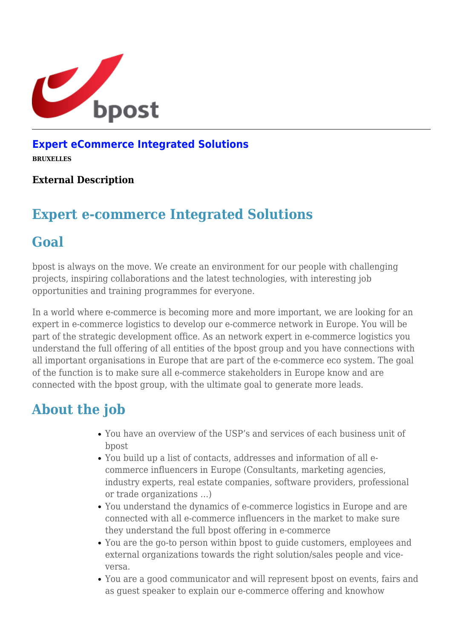

### **[Expert eCommerce Integrated Solutions](https://career.bpost.be/nl/vacature/brussel/expert-ecommerce-integrated-solutions/req5747)**

**BRUXELLES**

#### **External Description**

## **Expert e-commerce Integrated Solutions**

### **Goal**

bpost is always on the move. We create an environment for our people with challenging projects, inspiring collaborations and the latest technologies, with interesting job opportunities and training programmes for everyone.

In a world where e-commerce is becoming more and more important, we are looking for an expert in e-commerce logistics to develop our e-commerce network in Europe. You will be part of the strategic development office. As an network expert in e-commerce logistics you understand the full offering of all entities of the bpost group and you have connections with all important organisations in Europe that are part of the e-commerce eco system. The goal of the function is to make sure all e-commerce stakeholders in Europe know and are connected with the bpost group, with the ultimate goal to generate more leads.

## **About the job**

- You have an overview of the USP's and services of each business unit of bpost
- You build up a list of contacts, addresses and information of all ecommerce influencers in Europe (Consultants, marketing agencies, industry experts, real estate companies, software providers, professional or trade organizations …)
- You understand the dynamics of e-commerce logistics in Europe and are connected with all e-commerce influencers in the market to make sure they understand the full bpost offering in e-commerce
- You are the go-to person within bpost to guide customers, employees and external organizations towards the right solution/sales people and viceversa.
- You are a good communicator and will represent bpost on events, fairs and as guest speaker to explain our e-commerce offering and knowhow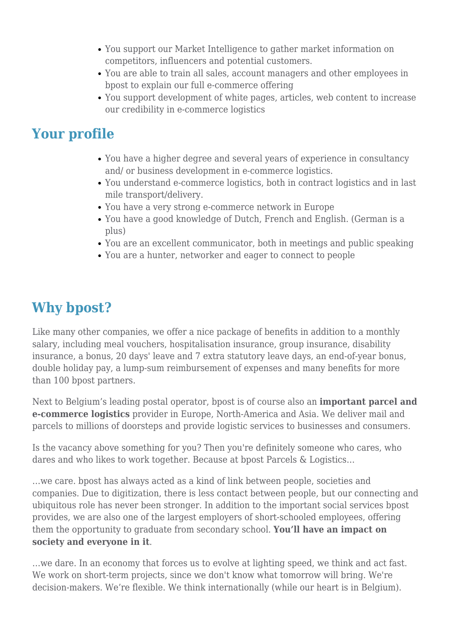- You support our Market Intelligence to gather market information on competitors, influencers and potential customers.
- You are able to train all sales, account managers and other employees in bpost to explain our full e-commerce offering
- You support development of white pages, articles, web content to increase our credibility in e-commerce logistics

## **Your profile**

- You have a higher degree and several years of experience in consultancy and/ or business development in e-commerce logistics.
- You understand e-commerce logistics, both in contract logistics and in last mile transport/delivery.
- You have a very strong e-commerce network in Europe
- You have a good knowledge of Dutch, French and English. (German is a plus)
- You are an excellent communicator, both in meetings and public speaking
- You are a hunter, networker and eager to connect to people

# **Why bpost?**

Like many other companies, we offer a nice package of benefits in addition to a monthly salary, including meal vouchers, hospitalisation insurance, group insurance, disability insurance, a bonus, 20 days' leave and 7 extra statutory leave days, an end-of-year bonus, double holiday pay, a lump-sum reimbursement of expenses and many benefits for more than 100 bpost partners.

Next to Belgium's leading postal operator, bpost is of course also an **important parcel and e-commerce logistics** provider in Europe, North-America and Asia. We deliver mail and parcels to millions of doorsteps and provide logistic services to businesses and consumers.

Is the vacancy above something for you? Then you're definitely someone who cares, who dares and who likes to work together. Because at bpost Parcels & Logistics…

…we care. bpost has always acted as a kind of link between people, societies and companies. Due to digitization, there is less contact between people, but our connecting and ubiquitous role has never been stronger. In addition to the important social services bpost provides, we are also one of the largest employers of short-schooled employees, offering them the opportunity to graduate from secondary school. **You'll have an impact on society and everyone in it**.

…we dare. In an economy that forces us to evolve at lighting speed, we think and act fast. We work on short-term projects, since we don't know what tomorrow will bring. We're decision-makers. We're flexible. We think internationally (while our heart is in Belgium).